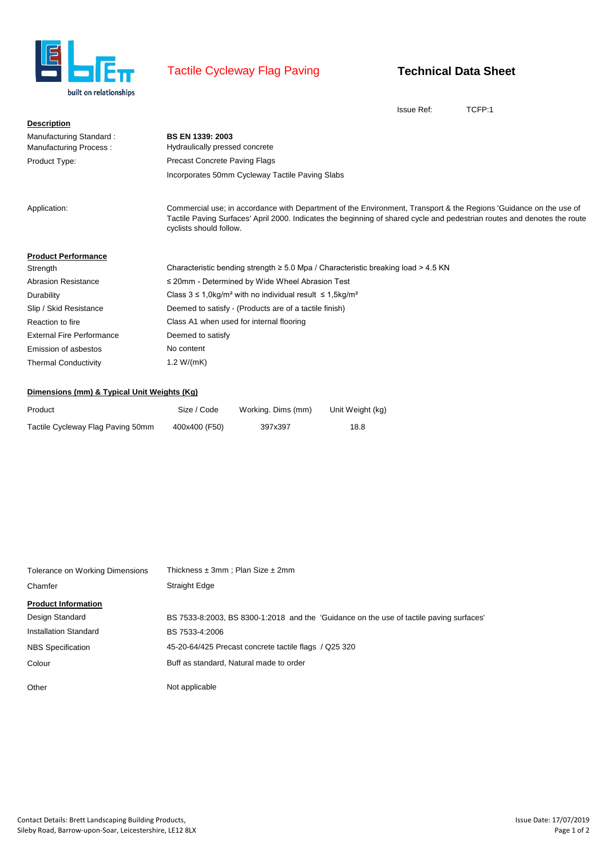

## Tactile Cycleway Flag Paving

## **Technical Data Sheet**

Issue Ref: TCFP:1

| <b>Description</b>               |                                                                                                                                                                                                                                                                          |
|----------------------------------|--------------------------------------------------------------------------------------------------------------------------------------------------------------------------------------------------------------------------------------------------------------------------|
| Manufacturing Standard:          | <b>BS EN 1339: 2003</b>                                                                                                                                                                                                                                                  |
| Manufacturing Process:           | Hydraulically pressed concrete                                                                                                                                                                                                                                           |
| Product Type:                    | <b>Precast Concrete Paving Flags</b>                                                                                                                                                                                                                                     |
|                                  | Incorporates 50mm Cycleway Tactile Paving Slabs                                                                                                                                                                                                                          |
| Application:                     | Commercial use; in accordance with Department of the Environment, Transport & the Regions 'Guidance on the use of<br>Tactile Paving Surfaces' April 2000. Indicates the beginning of shared cycle and pedestrian routes and denotes the route<br>cyclists should follow. |
| <b>Product Performance</b>       |                                                                                                                                                                                                                                                                          |
| Strength                         | Characteristic bending strength $\geq 5.0$ Mpa / Characteristic breaking load $> 4.5$ KN                                                                                                                                                                                 |
| <b>Abrasion Resistance</b>       | ≤ 20mm - Determined by Wide Wheel Abrasion Test                                                                                                                                                                                                                          |
| Durability                       | Class $3 \le 1.0 \text{kg/m}^2$ with no individual result $\le 1.5 \text{kg/m}^2$                                                                                                                                                                                        |
| Slip / Skid Resistance           | Deemed to satisfy - (Products are of a tactile finish)                                                                                                                                                                                                                   |
| Reaction to fire                 | Class A1 when used for internal flooring                                                                                                                                                                                                                                 |
| <b>External Fire Performance</b> | Deemed to satisfy                                                                                                                                                                                                                                                        |
| Emission of asbestos             | No content                                                                                                                                                                                                                                                               |
| <b>Thermal Conductivity</b>      | 1.2 $W/(mK)$                                                                                                                                                                                                                                                             |

## **Dimensions (mm) & Typical Unit Weights (Kg)**

| Product                           | Size / Code   | Working. Dims (mm) | Unit Weight (kg) |
|-----------------------------------|---------------|--------------------|------------------|
| Tactile Cycleway Flag Paving 50mm | 400x400 (F50) | 397x397            | 18.8             |

| Tolerance on Working Dimensions | Thickness $\pm 3$ mm ; Plan Size $\pm 2$ mm                                             |
|---------------------------------|-----------------------------------------------------------------------------------------|
| Chamfer                         | Straight Edge                                                                           |
| <b>Product Information</b>      |                                                                                         |
| Design Standard                 | BS 7533-8:2003, BS 8300-1:2018 and the 'Guidance on the use of tactile paving surfaces' |
| Installation Standard           | BS 7533-4:2006                                                                          |
| <b>NBS</b> Specification        | 45-20-64/425 Precast concrete tactile flags / Q25 320                                   |
| Colour                          | Buff as standard, Natural made to order                                                 |
| Other                           | Not applicable                                                                          |